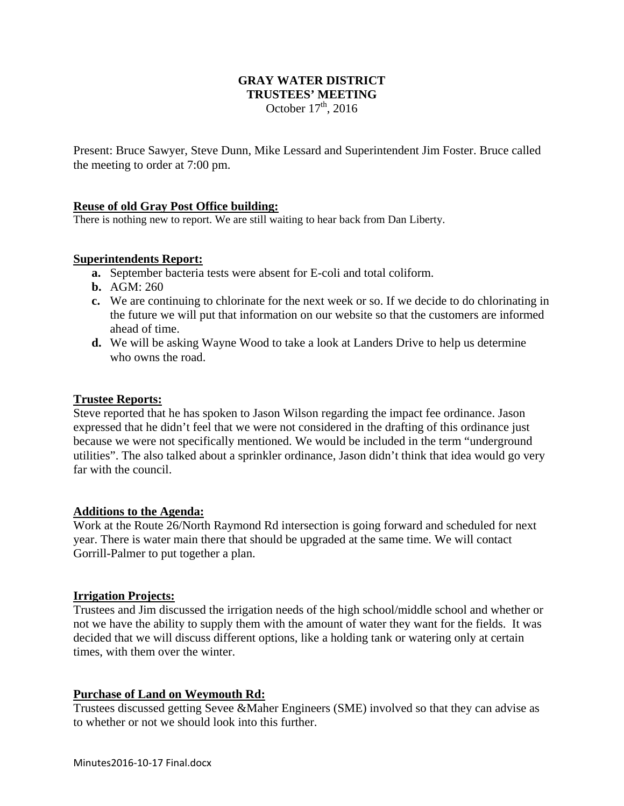## **GRAY WATER DISTRICT TRUSTEES' MEETING**  October  $17<sup>th</sup>$ , 2016

Present: Bruce Sawyer, Steve Dunn, Mike Lessard and Superintendent Jim Foster. Bruce called the meeting to order at 7:00 pm.

## **Reuse of old Gray Post Office building:**

There is nothing new to report. We are still waiting to hear back from Dan Liberty.

### **Superintendents Report:**

- **a.** September bacteria tests were absent for E-coli and total coliform.
- **b.** AGM: 260
- **c.** We are continuing to chlorinate for the next week or so. If we decide to do chlorinating in the future we will put that information on our website so that the customers are informed ahead of time.
- **d.** We will be asking Wayne Wood to take a look at Landers Drive to help us determine who owns the road.

#### **Trustee Reports:**

Steve reported that he has spoken to Jason Wilson regarding the impact fee ordinance. Jason expressed that he didn't feel that we were not considered in the drafting of this ordinance just because we were not specifically mentioned. We would be included in the term "underground utilities". The also talked about a sprinkler ordinance, Jason didn't think that idea would go very far with the council.

#### **Additions to the Agenda:**

Work at the Route 26/North Raymond Rd intersection is going forward and scheduled for next year. There is water main there that should be upgraded at the same time. We will contact Gorrill-Palmer to put together a plan.

#### **Irrigation Projects:**

Trustees and Jim discussed the irrigation needs of the high school/middle school and whether or not we have the ability to supply them with the amount of water they want for the fields. It was decided that we will discuss different options, like a holding tank or watering only at certain times, with them over the winter.

### **Purchase of Land on Weymouth Rd:**

Trustees discussed getting Sevee &Maher Engineers (SME) involved so that they can advise as to whether or not we should look into this further.